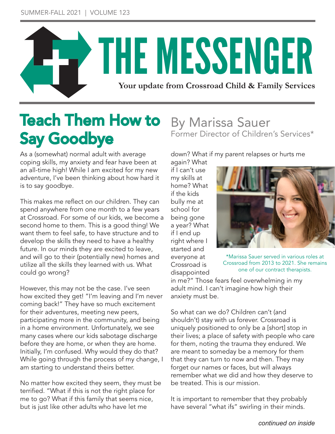

# Teach Them How to Say Goodbye

As a (somewhat) normal adult with average coping skills, my anxiety and fear have been at an all-time high! While I am excited for my new adventure, I've been thinking about how hard it is to say goodbye.

This makes me reflect on our children. They can spend anywhere from one month to a few years at Crossroad. For some of our kids, we become a second home to them. This is a good thing! We want them to feel safe, to have structure and to develop the skills they need to have a healthy future. In our minds they are excited to leave, and will go to their (potentially new) homes and utilize all the skills they learned with us. What could go wrong?

However, this may not be the case. I've seen how excited they get! "I'm leaving and I'm never coming back!" They have so much excitement for their adventures, meeting new peers, participating more in the community, and being in a home environment. Unfortunately, we see many cases where our kids sabotage discharge before they are home, or when they are home. Initially, I'm confused. Why would they do that? While going through the process of my change, I am starting to understand theirs better.

No matter how excited they seem, they must be terrified. "What if this is not the right place for me to go? What if this family that seems nice, but is just like other adults who have let me

#### By Marissa Sauer Former Director of Children's Services\*

down? What if my parent relapses or hurts me

again? What if I can't use my skills at home? What if the kids bully me at school for being gone a year? What if I end up right where I started and everyone at Crossroad is disappointed



\*Marissa Sauer served in various roles at Crossroad from 2013 to 2021. She remains one of our contract therapists.

in me?" Those fears feel overwhelming in my adult mind. I can't imagine how high their anxiety must be.

So what can we do? Children can't (and shouldn't) stay with us forever. Crossroad is uniquely positioned to only be a [short] stop in their lives; a place of safety with people who care for them, noting the trauma they endured. We are meant to someday be a memory for them that they can turn to now and then. They may forget our names or faces, but will always remember what we did and how they deserve to be treated. This is our mission.

It is important to remember that they probably have several "what ifs" swirling in their minds.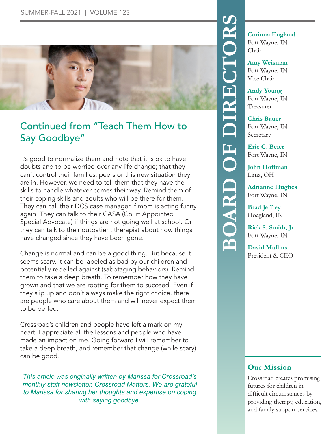

#### Continued from "Teach Them How to Say Goodbye"

It's good to normalize them and note that it is ok to have doubts and to be worried over any life change; that they can't control their families, peers or this new situation they are in. However, we need to tell them that they have the skills to handle whatever comes their way. Remind them of their coping skills and adults who will be there for them. They can call their DCS case manager if mom is acting funny again. They can talk to their CASA (Court Appointed Special Advocate) if things are not going well at school. Or they can talk to their outpatient therapist about how things have changed since they have been gone.

Change is normal and can be a good thing. But because it seems scary, it can be labeled as bad by our children and potentially rebelled against (sabotaging behaviors). Remind them to take a deep breath. To remember how they have grown and that we are rooting for them to succeed. Even if they slip up and don't always make the right choice, there are people who care about them and will never expect them to be perfect.

Crossroad's children and people have left a mark on my heart. I appreciate all the lessons and people who have made an impact on me. Going forward I will remember to take a deep breath, and remember that change (while scary) can be good.

*This article was originally written by Marissa for Crossroad's monthly staff newsletter, Crossroad Matters. We are grateful to Marissa for sharing her thoughts and expertise on coping with saying goodbye.*

**BOARD Corinna England**<br>
Fort Wayne, IN<br>
Chair<br> **Amy Weisman**<br>
Fort Wayne, IN<br>
Vice Chair<br>
Andy Young<br>
Fort Wayne, IN<br>
Treasurer<br>
Chris Bauer<br>
Fort Wayne, IN<br>
Secretary<br>
Eric G. Beier<br>
Fort Wayne, IN<br>
John Hoffman<br>
Lima, O

Fort Wayne, IN Chair

**Amy Weisman**

Fort Wayne, IN Vice Chair

**Andy Young** Fort Wayne, IN Treasurer

**Chris Bauer** Fort Wayne, IN Secretary

**Eric G. Beier** Fort Wayne, IN

**John Hoffman** Lima, OH

**Adrianne Hughes** Fort Wayne, IN

**Brad Jeffrey** Hoagland, IN

**Rick S. Smith, Jr.** Fort Wayne, IN

**David Mullins** President & CEO

#### **Our Mission**

Crossroad creates promising futures for children in difficult circumstances by providing therapy, education, and family support services.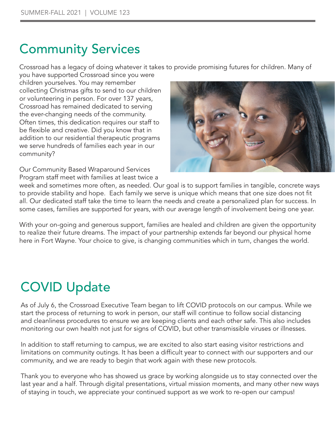### Community Services

Crossroad has a legacy of doing whatever it takes to provide promising futures for children. Many of

you have supported Crossroad since you were children yourselves. You may remember collecting Christmas gifts to send to our children or volunteering in person. For over 137 years, Crossroad has remained dedicated to serving the ever-changing needs of the community. Often times, this dedication requires our staff to be flexible and creative. Did you know that in addition to our residential therapeutic programs we serve hundreds of families each year in our community?

Our Community Based Wraparound Services Program staff meet with families at least twice a



week and sometimes more often, as needed. Our goal is to support families in tangible, concrete ways to provide stability and hope. Each family we serve is unique which means that one size does not fit all. Our dedicated staff take the time to learn the needs and create a personalized plan for success. In some cases, families are supported for years, with our average length of involvement being one year.

With your on-going and generous support, families are healed and children are given the opportunity to realize their future dreams. The impact of your partnership extends far beyond our physical home here in Fort Wayne. Your choice to give, is changing communities which in turn, changes the world.

## COVID Update

As of July 6, the Crossroad Executive Team began to lift COVID protocols on our campus. While we start the process of returning to work in person, our staff will continue to follow social distancing and cleanliness procedures to ensure we are keeping clients and each other safe. This also includes monitoring our own health not just for signs of COVID, but other transmissible viruses or illnesses.

In addition to staff returning to campus, we are excited to also start easing visitor restrictions and limitations on community outings. It has been a difficult year to connect with our supporters and our community, and we are ready to begin that work again with these new protocols.

Thank you to everyone who has showed us grace by working alongside us to stay connected over the last year and a half. Through digital presentations, virtual mission moments, and many other new ways of staying in touch, we appreciate your continued support as we work to re-open our campus!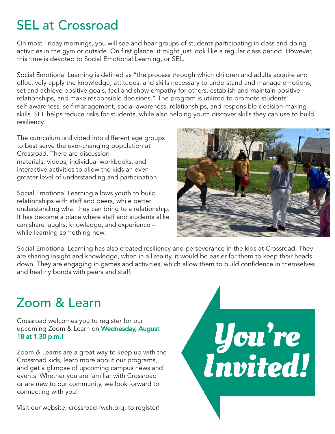## SEL at Crossroad

On most Friday mornings, you will see and hear groups of students participating in class and doing activities in the gym or outside. On first glance, it might just look like a regular class period. However, this time is devoted to Social Emotional Learning, or SEL.

Social Emotional Learning is defined as "the process through which children and adults acquire and effectively apply the knowledge, attitudes, and skills necessary to understand and manage emotions, set and achieve positive goals, feel and show empathy for others, establish and maintain positive relationships, and make responsible decisions." The program is utilized to promote students' self-awareness, self-management, social-awareness, relationships, and responsible decision-making skills. SEL helps reduce risks for students, while also helping youth discover skills they can use to build resiliency.

The curriculum is divided into different age groups to best serve the ever-changing population at Crossroad. There are discussion materials, videos, individual workbooks, and interactive activities to allow the kids an even greater level of understanding and participation.

Social Emotional Learning allows youth to build relationships with staff and peers, while better understanding what they can bring to a relationship. It has become a place where staff and students alike can share laughs, knowledge, and experience – while learning something new.



Social Emotional Learning has also created resiliency and perseverance in the kids at Crossroad. They are sharing insight and knowledge, when in all reality, it would be easier for them to keep their heads down. They are engaging in games and activities, which allow them to build confidence in themselves and healthy bonds with peers and staff.

### Zoom & Learn

Crossroad welcomes you to register for our upcoming Zoom & Learn on Wednesday, August 18 at 1:30 p.m.!

Zoom & Learns are a great way to keep up with the Crossroad kids, learn more about our programs, and get a glimpse of upcoming campus news and events. Whether you are familiar with Crossroad or are new to our community, we look forward to connecting with you!

Visit our website, crossroad-fwch.org, to register!

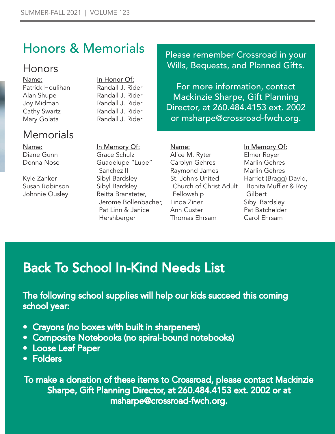## Honors & Memorials

#### Honors

Name: Patrick Houlihan Alan Shupe Joy Midman Cathy Swartz Mary Golata

#### **Memorials**

Name: Diane Gunn Donna Nose

Kyle Zanker Susan Robinson Johnnie Ousley

In Honor Of: Randall J. Rider Randall J. Rider Randall J. Rider Randall J. Rider Randall J. Rider

In Memory Of: Grace Schulz

Sanchez II Sibyl Bardsley Sibyl Bardsley Reitta Bransteter,

Guadelupe "Lupe"

Pat Linn & Janice

Hershberger

#### Please remember Crossroad in your Wills, Bequests, and Planned Gifts.

For more information, contact Mackinzie Sharpe, Gift Planning Director, at 260.484.4153 ext. 2002 or msharpe@crossroad-fwch.org.

Jerome Bollenbacher, Name: Alice M. Ryter Carolyn Gehres Raymond James St. John's United Church of Christ Adult Fellowship Linda Ziner Ann Custer Thomas Ehrsam

#### In Memory Of:

Elmer Royer Marlin Gehres Marlin Gehres Harriet (Bragg) David, Bonita Muffler & Roy **Gilbert** Sibyl Bardsley Pat Batchelder Carol Ehrsam

## Back To School In-Kind Needs List

The following school supplies will help our kids succeed this coming school year:

- Crayons (no boxes with built in sharpeners)
- Composite Notebooks (no spiral-bound notebooks)
- Loose Leaf Paper
- Folders

To make a donation of these items to Crossroad, please contact Mackinzie Sharpe, Gift Planning Director, at 260.484.4153 ext. 2002 or at msharpe@crossroad-fwch.org.